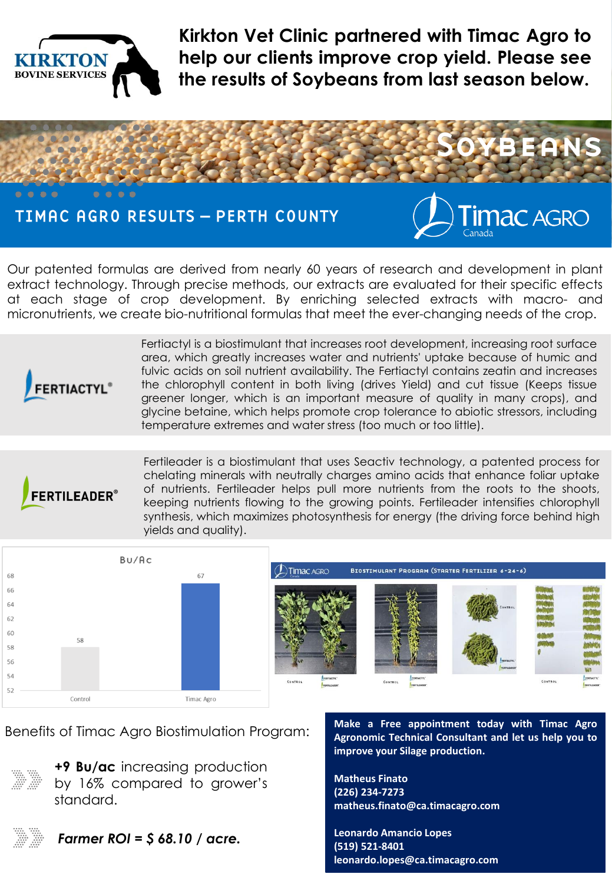

**Kirkton Vet Clinic partnered with Timac Agro to help our clients improve crop yield. Please see the results of Soybeans from last season below.**



Our patented formulas are derived from nearly 60 years of research and development in plant extract technology. Through precise methods, our extracts are evaluated for their specific effects at each stage of crop development. By enriching selected extracts with macro- and micronutrients, we create bio-nutritional formulas that meet the ever-changing needs of the crop.



Fertiactyl is a biostimulant that increases root development, increasing root surface area, which greatly increases water and nutrients' uptake because of humic and fulvic acids on soil nutrient availability. The Fertiactyl contains zeatin and increases the chlorophyll content in both living (drives Yield) and cut tissue (Keeps tissue greener longer, which is an important measure of quality in many crops), and glycine betaine, which helps promote crop tolerance to abiotic stressors, including temperature extremes and water stress (too much or too little).



Fertileader is a biostimulant that uses Seactiv technology, a patented process for chelating minerals with neutrally charges amino acids that enhance foliar uptake of nutrients. Fertileader helps pull more nutrients from the roots to the shoots, keeping nutrients flowing to the growing points. Fertileader intensifies chlorophyll synthesis, which maximizes photosynthesis for energy (the driving force behind high yields and quality).



BIOSTIMULANT PROGRAM (STARTER FERTILIZER 6-24-6)



Benefits of Timac Agro Biostimulation Program:



**+9 Bu/ac** increasing production by 16% compared to grower's standard.



*Farmer ROI = \$ 68.10 / acre.*

**Make a Free appointment today with Timac Agro Agronomic Technical Consultant and let us help you to improve your Silage production.**

**Matheus Finato (226) 234-7273 matheus.finato@ca.timacagro.com**

**Leonardo Amancio Lopes (519) 521-8401 leonardo.lopes@ca.timacagro.com**